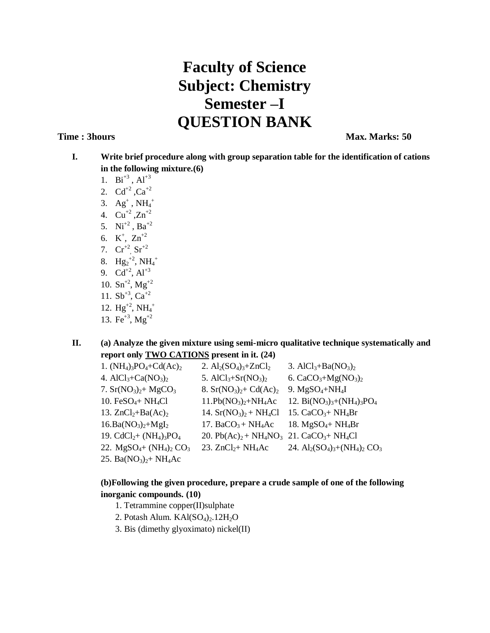## **Faculty of Science Subject: Chemistry Semester –I QUESTION BANK**

**Time : 3hours Max. Marks: 50** 

- **I. Write brief procedure along with group separation table for the identification of cations in the following mixture.(6)**
	- 1.  $Bi^{+3}$ ,  $Al^{+3}$
	- 2.  $Cd^{+2}$ ,  $Ca^{+2}$
	- 3.  $Ag^+$ , NH<sub>4</sub><sup>+</sup>
	- 4.  $Cu^{+2}$ ,  $Zn^{+2}$
	- 5.  $Ni^{+2}$ ,  $Ba^{+2}$
	- 6.  $K^+$ ,  $Zn^{+2}$
	- 7.  $Cr^{+2}$ ,  $Sr^{+2}$
	- 8.  $Hg_2^{+2}$ , NH<sub>4</sub><sup>+</sup>
	- 9.  $Cd^{+2}$ ,  $Al^{+3}$
	- 10.  $\text{Sn}^{+2}$ ,  $\text{Mg}^{+2}$
	- 11.  $Sb^{+3}$ ,  $Ca^{+2}$
	- 12.  $Hg^{+2}$ , N $H_4^+$
	- 13.  $Fe^{+3}$ ,  $Mg^{+2}$

**II. (a) Analyze the given mixture using semi-micro qualitative technique systematically and report only TWO CATIONS present in it. (24)**

| 1. $(NH_4)_3PO_4 + Cd(Ac)_2$   | 2. $Al_2(SO_4)_3 + ZnCl_2$ | 3. Al $Cl_3 + Ba(NO_3)_2$          |
|--------------------------------|----------------------------|------------------------------------|
| 4. $AlCl3+Ca(NO3)2$            | 5. $AlCl3+Sr(NO3)2$        | 6. $CaCO3+Mg(NO3)2$                |
| 7. $Sr(NO3)2+ MgCO3$           | 8. $Sr(NO3)2+ Cd(Ac)2$     | 9. $MgSO_4+NH_4I$                  |
| 10. $FeSO_4+NH_4Cl$            | $11.Pb(NO3)2+NH4Ac$        | 12. Bi $(NO_3)_3+(NH_4)_3PO_4$     |
| 13. $ZnCl2+Ba(Ac)2$            | 14. $Sr(NO3)2 + NH4Cl$     | 15. $CaCO3 + NH4Br$                |
| $16.Ba(NO3)2+Mgl2$             | 17. Ba $CO3 + NH4AC$       | 18. $MgSO_4+NH_4Br$                |
| 19. $CdCl2+ (NH4)3PO4$         | 20. $Pb(Ac)2 + NH4NO3$     | 21. $CaCO3 + NH4Cl$                |
| 22. $MgSO_4$ + $(NH_4)_2 CO_3$ | 23. $ZnCl2+NH4Ac$          | 24. $Al_2(SO_4)_3 + (NH_4)_2 CO_3$ |
| 25. Ba $(NO3)2+NH4Ac$          |                            |                                    |

## **(b)Following the given procedure, prepare a crude sample of one of the following inorganic compounds. (10)**

- 1. Tetrammine copper(II)sulphate
- 2. Potash Alum. KAl(SO<sub>4</sub>)<sub>2</sub>.12H<sub>2</sub>O
- 3. Bis (dimethy glyoximato) nickel(II)